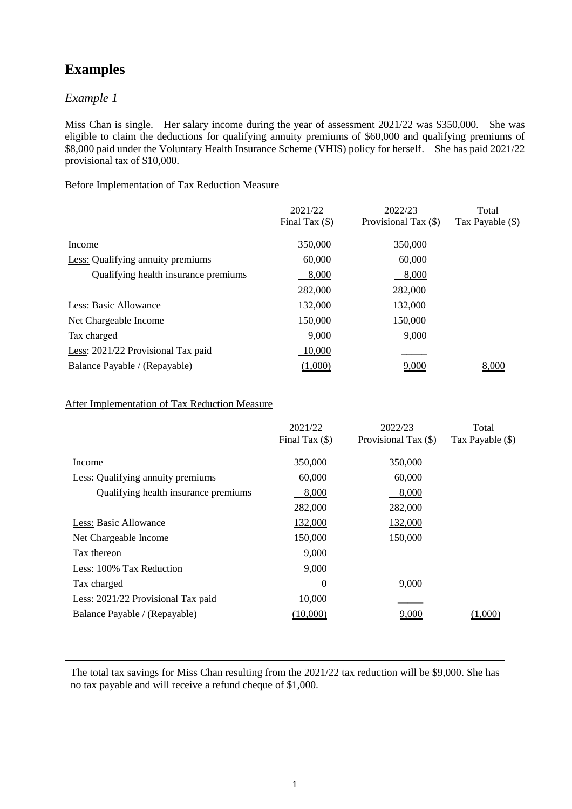# **Examples**

# *Example 1*

Miss Chan is single. Her salary income during the year of assessment 2021/22 was \$350,000. She was eligible to claim the deductions for qualifying annuity premiums of \$60,000 and qualifying premiums of \$8,000 paid under the Voluntary Health Insurance Scheme (VHIS) policy for herself. She has paid 2021/22 provisional tax of \$10,000.

## Before Implementation of Tax Reduction Measure

| 2021/22          | 2022/23              | Total            |
|------------------|----------------------|------------------|
| Final Tax $(\$)$ | Provisional Tax (\$) | Tax Payable (\$) |
| 350,000          | 350,000              |                  |
| 60,000           | 60,000               |                  |
| 8,000            | 8,000                |                  |
| 282,000          | 282,000              |                  |
| 132,000          | 132,000              |                  |
| 150,000          | 150,000              |                  |
| 9,000            | 9,000                |                  |
| 10,000           |                      |                  |
| (1,000)          | 9,000                | 8,000            |
|                  |                      |                  |

### After Implementation of Tax Reduction Measure

|                                          | 2021/22          | 2022/23              | Total            |
|------------------------------------------|------------------|----------------------|------------------|
|                                          | Final Tax $(\$)$ | Provisional Tax (\$) | Tax Payable (\$) |
| Income                                   | 350,000          | 350,000              |                  |
| <b>Less:</b> Qualifying annuity premiums | 60,000           | 60,000               |                  |
| Qualifying health insurance premiums     | 8,000            | 8,000                |                  |
|                                          | 282,000          | 282,000              |                  |
| Less: Basic Allowance                    | 132,000          | 132,000              |                  |
| Net Chargeable Income                    | 150,000          | 150,000              |                  |
| Tax thereon                              | 9,000            |                      |                  |
| Less: 100% Tax Reduction                 | 9,000            |                      |                  |
| Tax charged                              | $\theta$         | 9,000                |                  |
| Less: 2021/22 Provisional Tax paid       | 10,000           |                      |                  |
| Balance Payable / (Repayable)            | (10,000)         | 9,000                | (1,000)          |
|                                          |                  |                      |                  |

The total tax savings for Miss Chan resulting from the 2021/22 tax reduction will be \$9,000. She has no tax payable and will receive a refund cheque of \$1,000.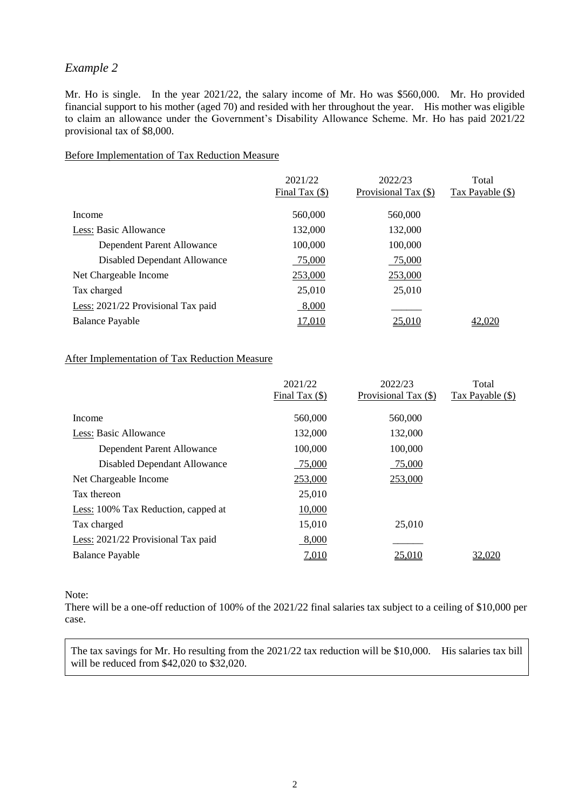# *Example 2*

Mr. Ho is single. In the year 2021/22, the salary income of Mr. Ho was \$560,000. Mr. Ho provided financial support to his mother (aged 70) and resided with her throughout the year. His mother was eligible to claim an allowance under the Government's Disability Allowance Scheme. Mr. Ho has paid 2021/22 provisional tax of \$8,000.

### Before Implementation of Tax Reduction Measure

|                                    | 2021/22<br>Final Tax $($ ) | 2022/23<br>Provisional Tax (\$) | Total<br>Tax Payable (\$) |
|------------------------------------|----------------------------|---------------------------------|---------------------------|
| Income                             | 560,000                    | 560,000                         |                           |
| Less: Basic Allowance              | 132,000                    | 132,000                         |                           |
| Dependent Parent Allowance         | 100,000                    | 100,000                         |                           |
| Disabled Dependant Allowance       | 75,000                     | 75,000                          |                           |
| Net Chargeable Income              | 253,000                    | 253,000                         |                           |
| Tax charged                        | 25,010                     | 25,010                          |                           |
| Less: 2021/22 Provisional Tax paid | 8,000                      |                                 |                           |
| <b>Balance Payable</b>             | <u>17.010</u>              | 25.010                          |                           |

## After Implementation of Tax Reduction Measure

| Tax Payable (\$) |
|------------------|
|                  |
|                  |
|                  |
|                  |
|                  |
|                  |
|                  |
|                  |
|                  |
| 32.020           |
|                  |

#### Note:

There will be a one-off reduction of 100% of the 2021/22 final salaries tax subject to a ceiling of \$10,000 per case.

The tax savings for Mr. Ho resulting from the 2021/22 tax reduction will be \$10,000. His salaries tax bill will be reduced from \$42,020 to \$32,020.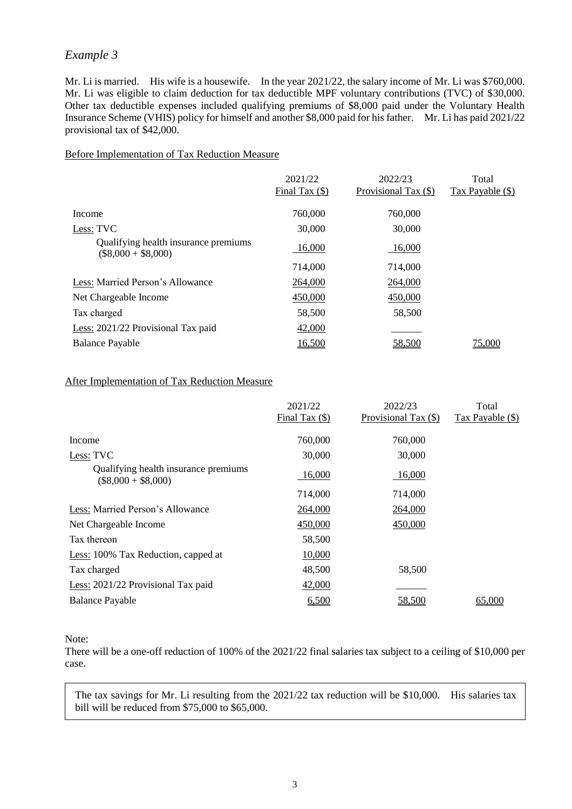# *Example 3*

Mr. Li is married. His wife is a housewife. In the year 2021/22, the salary income of Mr. Li was \$760,000. Mr. Li was eligible to claim deduction for tax deductible MPF voluntary contributions (TVC) of \$30,000. Other tax deductible expenses included qualifying premiums of \$8,000 paid under the Voluntary Health Insurance Scheme (VHIS) policy for himself and another \$8,000 paid for his father. Mr. Li has paid 2021/22 provisional tax of \$42,000.

### Before Implementation of Tax Reduction Measure

|                                                               | 2021/22          | 2022/23              | Total            |
|---------------------------------------------------------------|------------------|----------------------|------------------|
|                                                               | Final Tax $(\$)$ | Provisional Tax (\$) | Tax Payable (\$) |
| Income                                                        | 760,000          | 760,000              |                  |
| Less: TVC                                                     | 30,000           | 30,000               |                  |
| Qualifying health insurance premiums<br>$(\$8,000 + \$8,000)$ | 16,000           | 16,000               |                  |
|                                                               | 714,000          | 714,000              |                  |
| Less: Married Person's Allowance                              | 264,000          | 264,000              |                  |
| Net Chargeable Income                                         | 450,000          | 450,000              |                  |
| Tax charged                                                   | 58,500           | 58,500               |                  |
| Less: 2021/22 Provisional Tax paid                            | 42,000           |                      |                  |
| <b>Balance Payable</b>                                        | 16,500           | 58,500               | <u>75,000</u>    |

## After Implementation of Tax Reduction Measure

|                                                               | 2021/22<br>Final Tax $(\$)$ | 2022/23<br>Provisional Tax (\$) | Total<br>$\text{Tax} \text{ Payable } (\$)$ |
|---------------------------------------------------------------|-----------------------------|---------------------------------|---------------------------------------------|
| Income                                                        | 760,000                     | 760,000                         |                                             |
| Less: TVC                                                     | 30,000                      | 30,000                          |                                             |
| Qualifying health insurance premiums<br>$(\$8,000 + \$8,000)$ | 16,000                      | 16,000                          |                                             |
|                                                               | 714,000                     | 714,000                         |                                             |
| Less: Married Person's Allowance                              | 264,000                     | 264,000                         |                                             |
| Net Chargeable Income                                         | 450,000                     | 450,000                         |                                             |
| Tax thereon                                                   | 58,500                      |                                 |                                             |
| Less: 100% Tax Reduction, capped at                           | 10,000                      |                                 |                                             |
| Tax charged                                                   | 48,500                      | 58,500                          |                                             |
| Less: 2021/22 Provisional Tax paid                            | 42,000                      |                                 |                                             |
| <b>Balance Payable</b>                                        | 6,500                       | 58,500                          | 65,000                                      |

Note:

There will be a one-off reduction of 100% of the 2021/22 final salaries tax subject to a ceiling of \$10,000 per case.

The tax savings for Mr. Li resulting from the 2021/22 tax reduction will be \$10,000. His salaries tax bill will be reduced from \$75,000 to \$65,000.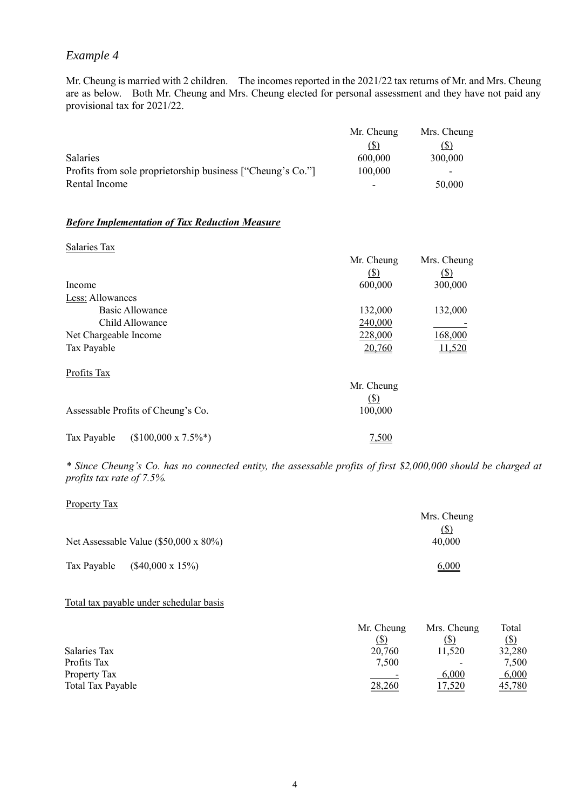# *Example 4*

Mr. Cheung is married with 2 children. The incomes reported in the 2021/22 tax returns of Mr. and Mrs. Cheung are as below. Both Mr. Cheung and Mrs. Cheung elected for personal assessment and they have not paid any provisional tax for 2021/22.

|                                                            | Mr. Cheung | Mrs. Cheung |
|------------------------------------------------------------|------------|-------------|
|                                                            | (১)        | (5)         |
| <b>Salaries</b>                                            | 600,000    | 300,000     |
| Profits from sole proprietorship business ["Cheung's Co."] | 100,000    | -           |
| Rental Income                                              |            | 50,000      |

#### *Before Implementation of Tax Reduction Measure*

| Salaries Tax                               |            |               |
|--------------------------------------------|------------|---------------|
|                                            | Mr. Cheung | Mrs. Cheung   |
|                                            | (5)        | (S)           |
| Income                                     | 600,000    | 300,000       |
| Less: Allowances                           |            |               |
| <b>Basic Allowance</b>                     | 132,000    | 132,000       |
| Child Allowance                            | 240,000    |               |
| Net Chargeable Income                      | 228,000    | 168,000       |
| Tax Payable                                | 20,760     | <u>11,520</u> |
| Profits Tax                                |            |               |
|                                            | Mr. Cheung |               |
|                                            | (S)        |               |
| Assessable Profits of Cheung's Co.         | 100,000    |               |
| $($100,000 \times 7.5\%^*)$<br>Tax Payable | 7,500      |               |

*\* Since Cheung's Co. has no connected entity, the assessable profits of first \$2,000,000 should be charged at profits tax rate of 7.5%.*

| <b>Property Tax</b>                    |             |
|----------------------------------------|-------------|
|                                        | Mrs. Cheung |
|                                        | $\circ$     |
| Net Assessable Value (\$50,000 x 80%)  | 40,000      |
|                                        |             |
| $($40,000 \times 15\%)$<br>Tax Payable | 6,000       |

#### Total tax payable under schedular basis

|                   | Mr. Cheung | Mrs. Cheung              | Total                     |
|-------------------|------------|--------------------------|---------------------------|
|                   | (\$)       | (\$                      | $\left( \text{\$}\right)$ |
| Salaries Tax      | 20,760     | 11,520                   | 32,280                    |
| Profits Tax       | 7,500      | $\overline{\phantom{0}}$ | 7,500                     |
| Property Tax      | ۰          | 6,000                    | 6,000                     |
| Total Tax Payable | 28,260     | 17,520                   | 45,780                    |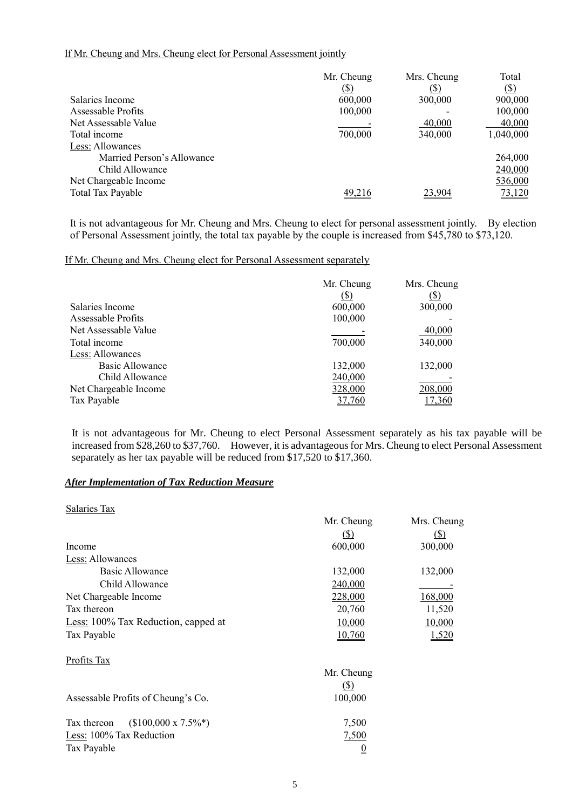# If Mr. Cheung and Mrs. Cheung elect for Personal Assessment jointly

|                            | Mr. Cheung  | Mrs. Cheung | Total       |
|----------------------------|-------------|-------------|-------------|
|                            | <u>(\$)</u> | (\$)        | $\circledS$ |
| Salaries Income            | 600,000     | 300,000     | 900,000     |
| Assessable Profits         | 100,000     |             | 100,000     |
| Net Assessable Value       |             | 40,000      | 40,000      |
| Total income               | 700,000     | 340,000     | 1,040,000   |
| Less: Allowances           |             |             |             |
| Married Person's Allowance |             |             | 264,000     |
| Child Allowance            |             |             | 240,000     |
| Net Chargeable Income      |             |             | 536,000     |
| Total Tax Payable          | 49.216      | 23.904      | 73,120      |

It is not advantageous for Mr. Cheung and Mrs. Cheung to elect for personal assessment jointly. By election of Personal Assessment jointly, the total tax payable by the couple is increased from \$45,780 to \$73,120.

## If Mr. Cheung and Mrs. Cheung elect for Personal Assessment separately

|                       | Mr. Cheung | Mrs. Cheung |
|-----------------------|------------|-------------|
|                       | (S)        | (\$)        |
| Salaries Income       | 600,000    | 300,000     |
| Assessable Profits    | 100,000    |             |
| Net Assessable Value  |            | 40,000      |
| Total income          | 700,000    | 340,000     |
| Less: Allowances      |            |             |
| Basic Allowance       | 132,000    | 132,000     |
| Child Allowance       | 240,000    |             |
| Net Chargeable Income | 328,000    | 208,000     |
| Tax Payable           | 37,760     | 17.360      |

It is not advantageous for Mr. Cheung to elect Personal Assessment separately as his tax payable will be increased from \$28,260 to \$37,760. However, it is advantageous for Mrs. Cheung to elect Personal Assessment separately as her tax payable will be reduced from \$17,520 to \$17,360.

## *After Implementation of Tax Reduction Measure*

| Mr. Cheung                 | Mrs. Cheung |
|----------------------------|-------------|
| $\left( \mathbb{S}\right)$ | <u>(\$)</u> |
| 600,000                    | 300,000     |
|                            |             |
| 132,000                    | 132,000     |
| 240,000                    |             |
| 228,000                    | 168,000     |
| 20,760                     | 11,520      |
| 10,000                     | 10,000      |
| 10,760                     | 1,520       |
|                            |             |
| Mr. Cheung                 |             |
| $(S)$                      |             |
| 100,000                    |             |
| 7,500                      |             |
| 7,500                      |             |
| $\overline{0}$             |             |
|                            |             |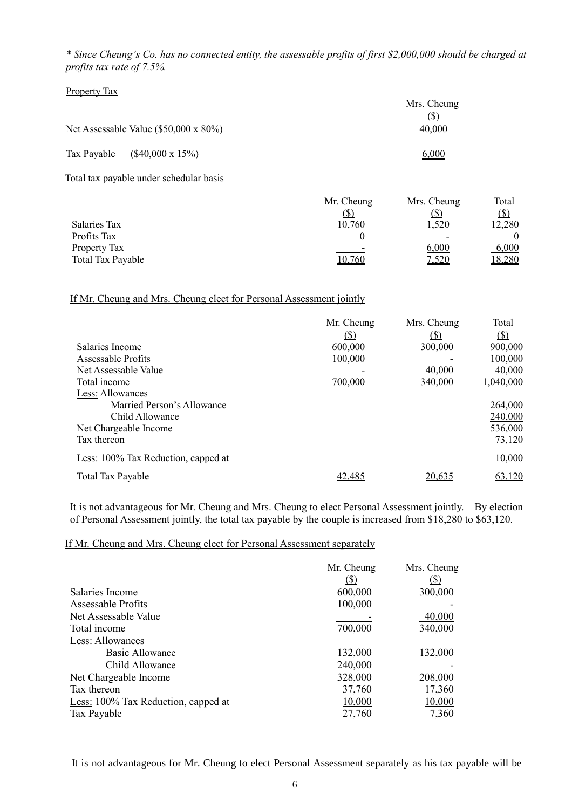*\* Since Cheung's Co. has no connected entity, the assessable profits of first \$2,000,000 should be charged at profits tax rate of 7.5%.*

#### Property Tax

|             |                                               | Mrs. Cheung<br>$\circ$ |
|-------------|-----------------------------------------------|------------------------|
|             | Net Assessable Value $(\$50,000 \times 80\%)$ | 40,000                 |
| Tax Payable | $($40,000 \times 15\%)$                       | 6,000                  |

Total tax payable under schedular basis

| Mr. Cheung | Mrs. Cheung              | Total       |
|------------|--------------------------|-------------|
| ID.        |                          | <u>(\$)</u> |
| 10,760     | 1,520                    | 12,280      |
|            | $\overline{\phantom{0}}$ |             |
|            | 6,000                    | 6,000       |
| 10,760     | <u>7,520</u>             | 18,280      |
|            |                          |             |

#### If Mr. Cheung and Mrs. Cheung elect for Personal Assessment jointly

|                                     | Mr. Cheung | Mrs. Cheung | Total     |
|-------------------------------------|------------|-------------|-----------|
|                                     | $\circ$    | (S)         | $\circ$   |
| Salaries Income                     | 600,000    | 300,000     | 900,000   |
| Assessable Profits                  | 100,000    |             | 100,000   |
| Net Assessable Value                |            | 40,000      | 40,000    |
| Total income                        | 700,000    | 340,000     | 1,040,000 |
| Less: Allowances                    |            |             |           |
| Married Person's Allowance          |            |             | 264,000   |
| Child Allowance                     |            |             | 240,000   |
| Net Chargeable Income               |            |             | 536,000   |
| Tax thereon                         |            |             | 73,120    |
| Less: 100% Tax Reduction, capped at |            |             | 10,000    |
| Total Tax Payable                   | 42,485     | 20.635      | 63,120    |

It is not advantageous for Mr. Cheung and Mrs. Cheung to elect Personal Assessment jointly. By election of Personal Assessment jointly, the total tax payable by the couple is increased from \$18,280 to \$63,120.

#### If Mr. Cheung and Mrs. Cheung elect for Personal Assessment separately

|                                     | Mr. Cheung  | Mrs. Cheung |
|-------------------------------------|-------------|-------------|
|                                     | <u>(\$)</u> | <u>(S)</u>  |
| Salaries Income                     | 600,000     | 300,000     |
| Assessable Profits                  | 100,000     |             |
| Net Assessable Value                |             | 40,000      |
| Total income                        | 700,000     | 340,000     |
| Less: Allowances                    |             |             |
| Basic Allowance                     | 132,000     | 132,000     |
| Child Allowance                     | 240,000     |             |
| Net Chargeable Income               | 328,000     | 208,000     |
| Tax thereon                         | 37,760      | 17,360      |
| Less: 100% Tax Reduction, capped at | 10,000      | 10,000      |
| Tax Payable                         | 27,760      | 7,360       |

It is not advantageous for Mr. Cheung to elect Personal Assessment separately as his tax payable will be